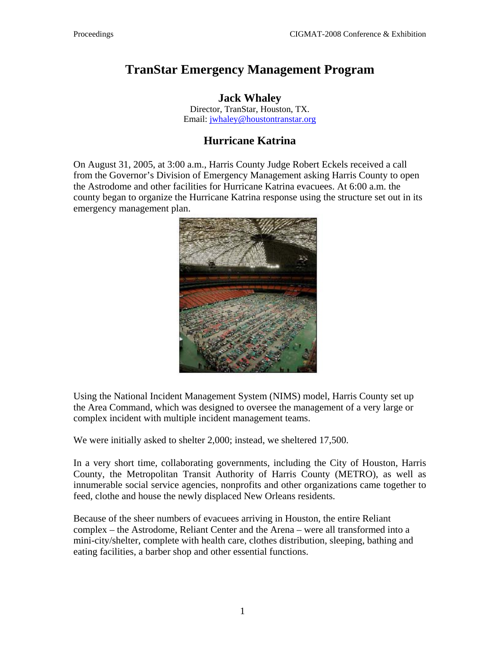## **TranStar Emergency Management Program**

**Jack Whaley**  Director, TranStar, Houston, TX. Email: [jwhaley@houstontranstar.org](mailto:jwhaley@houstontranstar.org)

## **Hurricane Katrina**

On August 31, 2005, at 3:00 a.m., Harris County Judge Robert Eckels received a call from the Governor's Division of Emergency Management asking Harris County to open the Astrodome and other facilities for Hurricane Katrina evacuees. At 6:00 a.m. the county began to organize the Hurricane Katrina response using the structure set out in its emergency management plan.



Using the National Incident Management System (NIMS) model, Harris County set up the Area Command, which was designed to oversee the management of a very large or complex incident with multiple incident management teams.

We were initially asked to shelter 2,000; instead, we sheltered 17,500.

In a very short time, collaborating governments, including the City of Houston, Harris County, the Metropolitan Transit Authority of Harris County (METRO), as well as innumerable social service agencies, nonprofits and other organizations came together to feed, clothe and house the newly displaced New Orleans residents.

Because of the sheer numbers of evacuees arriving in Houston, the entire Reliant complex – the Astrodome, Reliant Center and the Arena – were all transformed into a mini-city/shelter, complete with health care, clothes distribution, sleeping, bathing and eating facilities, a barber shop and other essential functions.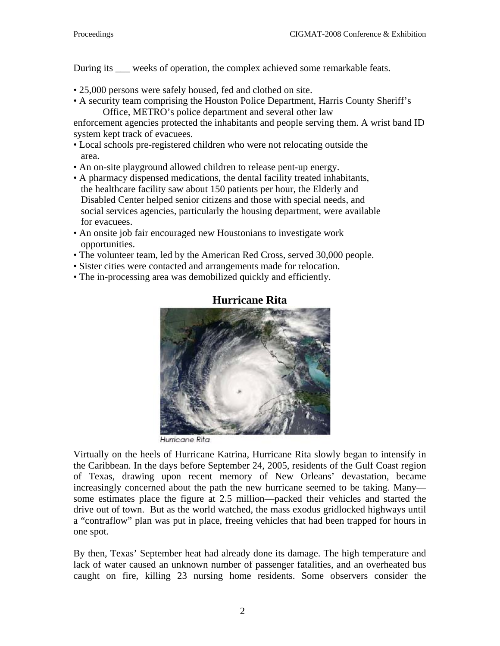During its weeks of operation, the complex achieved some remarkable feats.

- 25,000 persons were safely housed, fed and clothed on site.
- A security team comprising the Houston Police Department, Harris County Sheriff's Office, METRO's police department and several other law

enforcement agencies protected the inhabitants and people serving them. A wrist band ID system kept track of evacuees.

- Local schools pre-registered children who were not relocating outside the area.
- An on-site playground allowed children to release pent-up energy.
- A pharmacy dispensed medications, the dental facility treated inhabitants, the healthcare facility saw about 150 patients per hour, the Elderly and Disabled Center helped senior citizens and those with special needs, and social services agencies, particularly the housing department, were available for evacuees.
- An onsite job fair encouraged new Houstonians to investigate work opportunities.
- The volunteer team, led by the American Red Cross, served 30,000 people.
- Sister cities were contacted and arrangements made for relocation.
- The in-processing area was demobilized quickly and efficiently.



## **Hurricane Rita**

Hurricane Rita

Virtually on the heels of Hurricane Katrina, Hurricane Rita slowly began to intensify in the Caribbean. In the days before September 24, 2005, residents of the Gulf Coast region of Texas, drawing upon recent memory of New Orleans' devastation, became increasingly concerned about the path the new hurricane seemed to be taking. Many some estimates place the figure at 2.5 million—packed their vehicles and started the drive out of town. But as the world watched, the mass exodus gridlocked highways until a "contraflow" plan was put in place, freeing vehicles that had been trapped for hours in one spot.

By then, Texas' September heat had already done its damage. The high temperature and lack of water caused an unknown number of passenger fatalities, and an overheated bus caught on fire, killing 23 nursing home residents. Some observers consider the